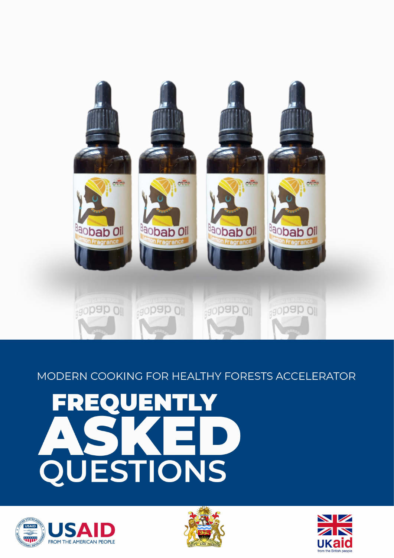





# FREQUENTLY QUESTIONS

# MODERN COOKING FOR HEALTHY FORESTS ACCELERATOR

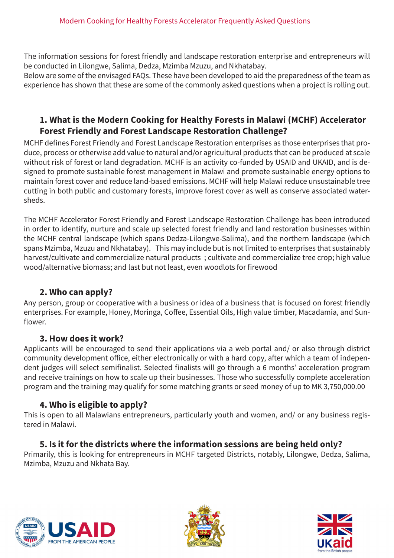The information sessions for forest friendly and landscape restoration enterprise and entrepreneurs will be conducted in Lilongwe, Salima, Dedza, Mzimba Mzuzu, and Nkhatabay.

Below are some of the envisaged FAQs. These have been developed to aid the preparedness of the team as experience has shown that these are some of the commonly asked questions when a project is rolling out.

# **1. What is the Modern Cooking for Healthy Forests in Malawi (MCHF) Accelerator Forest Friendly and Forest Landscape Restoration Challenge?**

MCHF defines Forest Friendly and Forest Landscape Restoration enterprises as those enterprises that produce, process or otherwise add value to natural and/or agricultural products that can be produced at scale without risk of forest or land degradation. MCHF is an activity co-funded by USAID and UKAID, and is designed to promote sustainable forest management in Malawi and promote sustainable energy options to maintain forest cover and reduce land-based emissions. MCHF will help Malawi reduce unsustainable tree cutting in both public and customary forests, improve forest cover as well as conserve associated watersheds.

The MCHF Accelerator Forest Friendly and Forest Landscape Restoration Challenge has been introduced in order to identify, nurture and scale up selected forest friendly and land restoration businesses within the MCHF central landscape (which spans Dedza-Lilongwe-Salima), and the northern landscape (which spans Mzimba, Mzuzu and Nkhatabay). This may include but is not limited to enterprises that sustainably harvest/cultivate and commercialize natural products ; cultivate and commercialize tree crop; high value wood/alternative biomass; and last but not least, even woodlots for firewood

# **2. Who can apply?**

Any person, group or cooperative with a business or idea of a business that is focused on forest friendly enterprises. For example, Honey, Moringa, Coffee, Essential Oils, High value timber, Macadamia, and Sunflower.

#### **3. How does it work?**

Applicants will be encouraged to send their applications via a web portal and/ or also through district community development office, either electronically or with a hard copy, after which a team of independent judges will select semifinalist. Selected finalists will go through a 6 months' acceleration program and receive trainings on how to scale up their businesses. Those who successfully complete acceleration program and the training may qualify for some matching grants or seed money of up to MK 3,750,000.00

# **4. Who is eligible to apply?**

This is open to all Malawians entrepreneurs, particularly youth and women, and/ or any business registered in Malawi.

# **5. Is it for the districts where the information sessions are being held only?**

Primarily, this is looking for entrepreneurs in MCHF targeted Districts, notably, Lilongwe, Dedza, Salima, Mzimba, Mzuzu and Nkhata Bay.